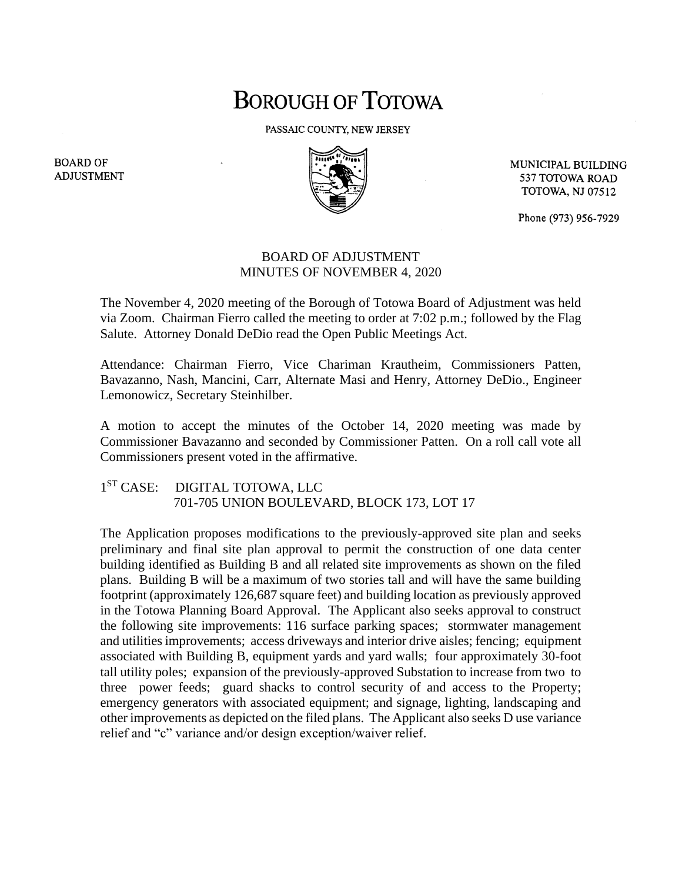## **BOROUGH OF TOTOWA**

PASSAIC COUNTY, NEW JERSEY



MUNICIPAL BUILDING 537 TOTOWA ROAD **TOTOWA, NJ 07512** 

Phone (973) 956-7929

## BOARD OF ADJUSTMENT MINUTES OF NOVEMBER 4, 2020

The November 4, 2020 meeting of the Borough of Totowa Board of Adjustment was held via Zoom. Chairman Fierro called the meeting to order at 7:02 p.m.; followed by the Flag Salute. Attorney Donald DeDio read the Open Public Meetings Act.

Attendance: Chairman Fierro, Vice Chariman Krautheim, Commissioners Patten, Bavazanno, Nash, Mancini, Carr, Alternate Masi and Henry, Attorney DeDio., Engineer Lemonowicz, Secretary Steinhilber.

A motion to accept the minutes of the October 14, 2020 meeting was made by Commissioner Bavazanno and seconded by Commissioner Patten. On a roll call vote all Commissioners present voted in the affirmative.

1 ST CASE: DIGITAL TOTOWA, LLC 701-705 UNION BOULEVARD, BLOCK 173, LOT 17

The Application proposes modifications to the previously-approved site plan and seeks preliminary and final site plan approval to permit the construction of one data center building identified as Building B and all related site improvements as shown on the filed plans. Building B will be a maximum of two stories tall and will have the same building footprint (approximately 126,687 square feet) and building location as previously approved in the Totowa Planning Board Approval. The Applicant also seeks approval to construct the following site improvements: 116 surface parking spaces; stormwater management and utilities improvements; access driveways and interior drive aisles; fencing; equipment associated with Building B, equipment yards and yard walls; four approximately 30-foot tall utility poles; expansion of the previously-approved Substation to increase from two to three power feeds; guard shacks to control security of and access to the Property; emergency generators with associated equipment; and signage, lighting, landscaping and other improvements as depicted on the filed plans. The Applicant also seeks D use variance relief and "c" variance and/or design exception/waiver relief.

**BOARD OF ADJUSTMENT**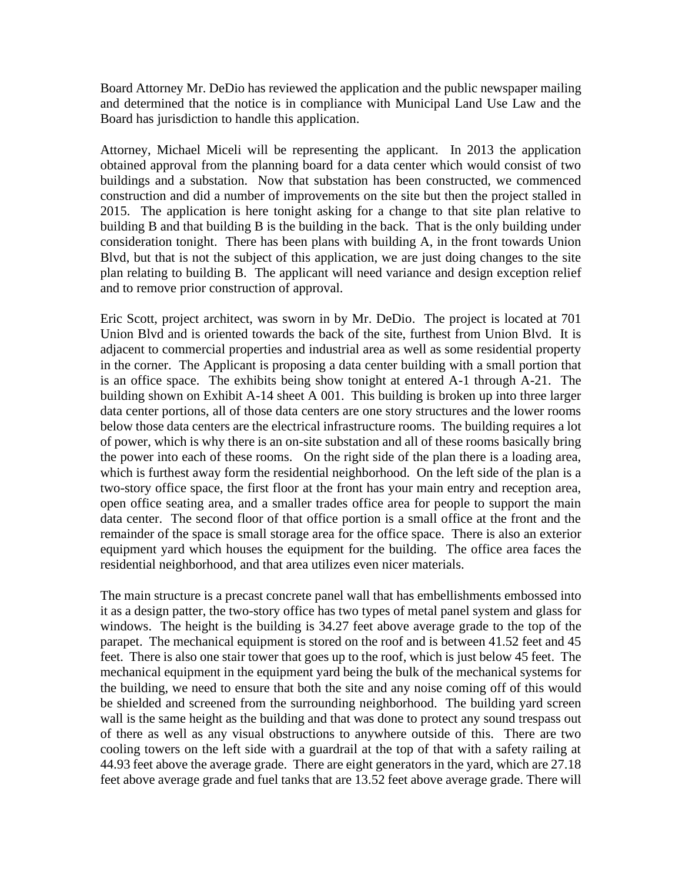Board Attorney Mr. DeDio has reviewed the application and the public newspaper mailing and determined that the notice is in compliance with Municipal Land Use Law and the Board has jurisdiction to handle this application.

Attorney, Michael Miceli will be representing the applicant. In 2013 the application obtained approval from the planning board for a data center which would consist of two buildings and a substation. Now that substation has been constructed, we commenced construction and did a number of improvements on the site but then the project stalled in 2015. The application is here tonight asking for a change to that site plan relative to building B and that building B is the building in the back. That is the only building under consideration tonight. There has been plans with building A, in the front towards Union Blvd, but that is not the subject of this application, we are just doing changes to the site plan relating to building B. The applicant will need variance and design exception relief and to remove prior construction of approval.

Eric Scott, project architect, was sworn in by Mr. DeDio. The project is located at 701 Union Blvd and is oriented towards the back of the site, furthest from Union Blvd. It is adjacent to commercial properties and industrial area as well as some residential property in the corner. The Applicant is proposing a data center building with a small portion that is an office space. The exhibits being show tonight at entered A-1 through A-21. The building shown on Exhibit A-14 sheet A 001. This building is broken up into three larger data center portions, all of those data centers are one story structures and the lower rooms below those data centers are the electrical infrastructure rooms. The building requires a lot of power, which is why there is an on-site substation and all of these rooms basically bring the power into each of these rooms. On the right side of the plan there is a loading area, which is furthest away form the residential neighborhood. On the left side of the plan is a two-story office space, the first floor at the front has your main entry and reception area, open office seating area, and a smaller trades office area for people to support the main data center. The second floor of that office portion is a small office at the front and the remainder of the space is small storage area for the office space. There is also an exterior equipment yard which houses the equipment for the building. The office area faces the residential neighborhood, and that area utilizes even nicer materials.

The main structure is a precast concrete panel wall that has embellishments embossed into it as a design patter, the two-story office has two types of metal panel system and glass for windows. The height is the building is 34.27 feet above average grade to the top of the parapet. The mechanical equipment is stored on the roof and is between 41.52 feet and 45 feet. There is also one stair tower that goes up to the roof, which is just below 45 feet. The mechanical equipment in the equipment yard being the bulk of the mechanical systems for the building, we need to ensure that both the site and any noise coming off of this would be shielded and screened from the surrounding neighborhood. The building yard screen wall is the same height as the building and that was done to protect any sound trespass out of there as well as any visual obstructions to anywhere outside of this. There are two cooling towers on the left side with a guardrail at the top of that with a safety railing at 44.93 feet above the average grade. There are eight generators in the yard, which are 27.18 feet above average grade and fuel tanks that are 13.52 feet above average grade. There will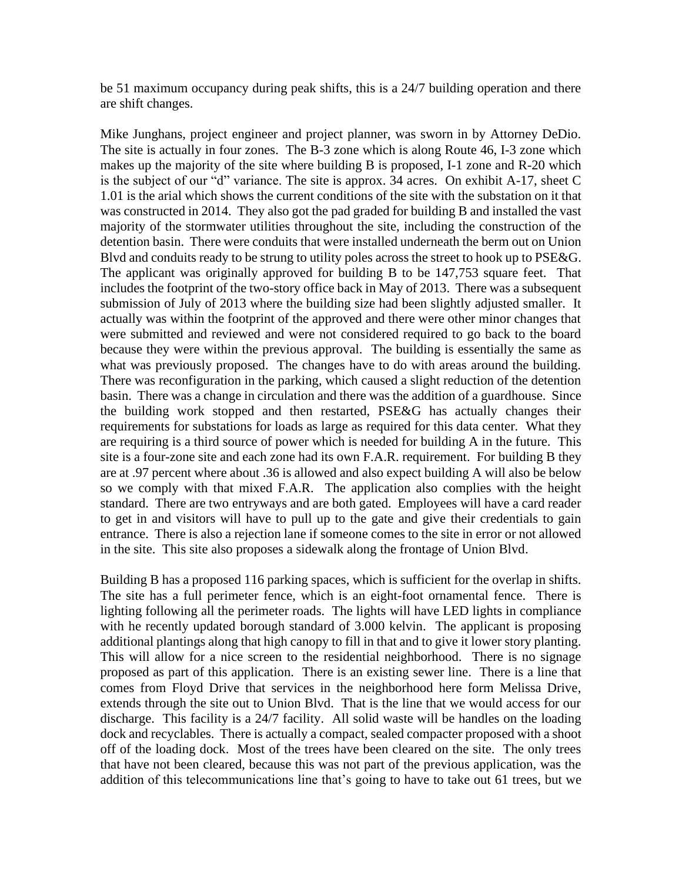be 51 maximum occupancy during peak shifts, this is a 24/7 building operation and there are shift changes.

Mike Junghans, project engineer and project planner, was sworn in by Attorney DeDio. The site is actually in four zones. The B-3 zone which is along Route 46, I-3 zone which makes up the majority of the site where building B is proposed, I-1 zone and R-20 which is the subject of our "d" variance. The site is approx. 34 acres. On exhibit A-17, sheet C 1.01 is the arial which shows the current conditions of the site with the substation on it that was constructed in 2014. They also got the pad graded for building B and installed the vast majority of the stormwater utilities throughout the site, including the construction of the detention basin. There were conduits that were installed underneath the berm out on Union Blvd and conduits ready to be strung to utility poles across the street to hook up to PSE&G. The applicant was originally approved for building B to be 147,753 square feet. That includes the footprint of the two-story office back in May of 2013. There was a subsequent submission of July of 2013 where the building size had been slightly adjusted smaller. It actually was within the footprint of the approved and there were other minor changes that were submitted and reviewed and were not considered required to go back to the board because they were within the previous approval. The building is essentially the same as what was previously proposed. The changes have to do with areas around the building. There was reconfiguration in the parking, which caused a slight reduction of the detention basin. There was a change in circulation and there was the addition of a guardhouse. Since the building work stopped and then restarted, PSE&G has actually changes their requirements for substations for loads as large as required for this data center. What they are requiring is a third source of power which is needed for building A in the future. This site is a four-zone site and each zone had its own F.A.R. requirement. For building B they are at .97 percent where about .36 is allowed and also expect building A will also be below so we comply with that mixed F.A.R. The application also complies with the height standard. There are two entryways and are both gated. Employees will have a card reader to get in and visitors will have to pull up to the gate and give their credentials to gain entrance. There is also a rejection lane if someone comes to the site in error or not allowed in the site. This site also proposes a sidewalk along the frontage of Union Blvd.

Building B has a proposed 116 parking spaces, which is sufficient for the overlap in shifts. The site has a full perimeter fence, which is an eight-foot ornamental fence. There is lighting following all the perimeter roads. The lights will have LED lights in compliance with he recently updated borough standard of 3.000 kelvin. The applicant is proposing additional plantings along that high canopy to fill in that and to give it lower story planting. This will allow for a nice screen to the residential neighborhood. There is no signage proposed as part of this application. There is an existing sewer line. There is a line that comes from Floyd Drive that services in the neighborhood here form Melissa Drive, extends through the site out to Union Blvd. That is the line that we would access for our discharge. This facility is a 24/7 facility. All solid waste will be handles on the loading dock and recyclables. There is actually a compact, sealed compacter proposed with a shoot off of the loading dock. Most of the trees have been cleared on the site. The only trees that have not been cleared, because this was not part of the previous application, was the addition of this telecommunications line that's going to have to take out 61 trees, but we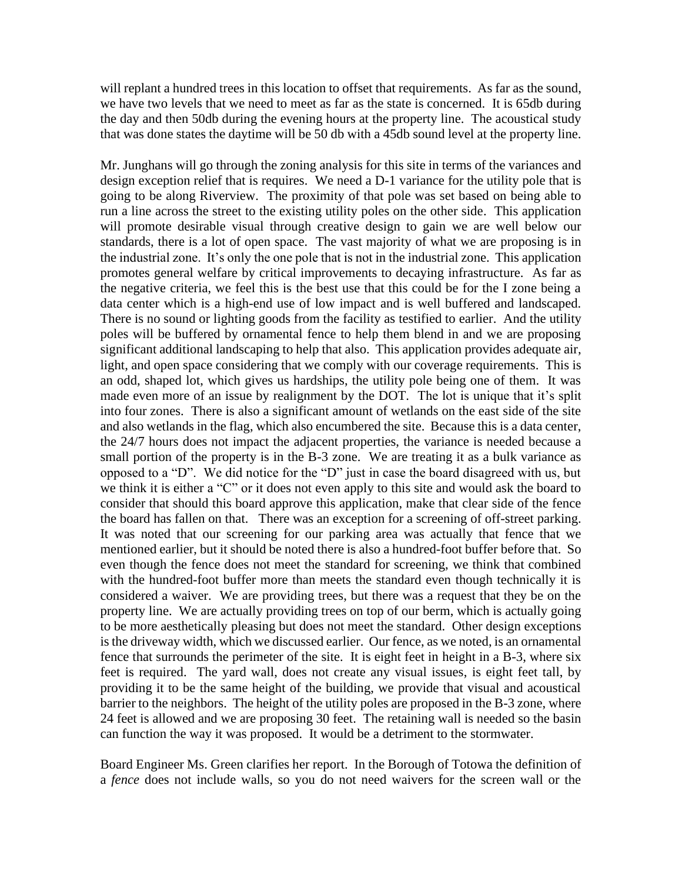will replant a hundred trees in this location to offset that requirements. As far as the sound, we have two levels that we need to meet as far as the state is concerned. It is 65db during the day and then 50db during the evening hours at the property line. The acoustical study that was done states the daytime will be 50 db with a 45db sound level at the property line.

Mr. Junghans will go through the zoning analysis for this site in terms of the variances and design exception relief that is requires. We need a D-1 variance for the utility pole that is going to be along Riverview. The proximity of that pole was set based on being able to run a line across the street to the existing utility poles on the other side. This application will promote desirable visual through creative design to gain we are well below our standards, there is a lot of open space. The vast majority of what we are proposing is in the industrial zone. It's only the one pole that is not in the industrial zone. This application promotes general welfare by critical improvements to decaying infrastructure. As far as the negative criteria, we feel this is the best use that this could be for the I zone being a data center which is a high-end use of low impact and is well buffered and landscaped. There is no sound or lighting goods from the facility as testified to earlier. And the utility poles will be buffered by ornamental fence to help them blend in and we are proposing significant additional landscaping to help that also. This application provides adequate air, light, and open space considering that we comply with our coverage requirements. This is an odd, shaped lot, which gives us hardships, the utility pole being one of them. It was made even more of an issue by realignment by the DOT. The lot is unique that it's split into four zones. There is also a significant amount of wetlands on the east side of the site and also wetlands in the flag, which also encumbered the site. Because this is a data center, the 24/7 hours does not impact the adjacent properties, the variance is needed because a small portion of the property is in the B-3 zone. We are treating it as a bulk variance as opposed to a "D". We did notice for the "D" just in case the board disagreed with us, but we think it is either a "C" or it does not even apply to this site and would ask the board to consider that should this board approve this application, make that clear side of the fence the board has fallen on that. There was an exception for a screening of off-street parking. It was noted that our screening for our parking area was actually that fence that we mentioned earlier, but it should be noted there is also a hundred-foot buffer before that. So even though the fence does not meet the standard for screening, we think that combined with the hundred-foot buffer more than meets the standard even though technically it is considered a waiver. We are providing trees, but there was a request that they be on the property line. We are actually providing trees on top of our berm, which is actually going to be more aesthetically pleasing but does not meet the standard. Other design exceptions is the driveway width, which we discussed earlier. Our fence, as we noted, is an ornamental fence that surrounds the perimeter of the site. It is eight feet in height in a B-3, where six feet is required. The yard wall, does not create any visual issues, is eight feet tall, by providing it to be the same height of the building, we provide that visual and acoustical barrier to the neighbors. The height of the utility poles are proposed in the B-3 zone, where 24 feet is allowed and we are proposing 30 feet. The retaining wall is needed so the basin can function the way it was proposed. It would be a detriment to the stormwater.

Board Engineer Ms. Green clarifies her report. In the Borough of Totowa the definition of a *fence* does not include walls, so you do not need waivers for the screen wall or the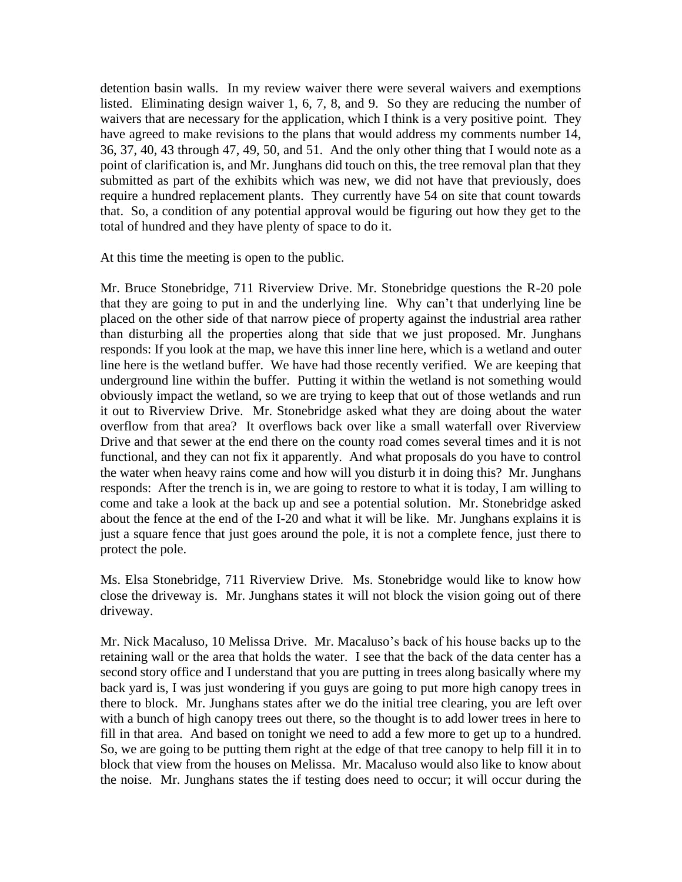detention basin walls. In my review waiver there were several waivers and exemptions listed. Eliminating design waiver 1, 6, 7, 8, and 9. So they are reducing the number of waivers that are necessary for the application, which I think is a very positive point. They have agreed to make revisions to the plans that would address my comments number 14, 36, 37, 40, 43 through 47, 49, 50, and 51. And the only other thing that I would note as a point of clarification is, and Mr. Junghans did touch on this, the tree removal plan that they submitted as part of the exhibits which was new, we did not have that previously, does require a hundred replacement plants. They currently have 54 on site that count towards that. So, a condition of any potential approval would be figuring out how they get to the total of hundred and they have plenty of space to do it.

At this time the meeting is open to the public.

Mr. Bruce Stonebridge, 711 Riverview Drive. Mr. Stonebridge questions the R-20 pole that they are going to put in and the underlying line. Why can't that underlying line be placed on the other side of that narrow piece of property against the industrial area rather than disturbing all the properties along that side that we just proposed. Mr. Junghans responds: If you look at the map, we have this inner line here, which is a wetland and outer line here is the wetland buffer. We have had those recently verified. We are keeping that underground line within the buffer. Putting it within the wetland is not something would obviously impact the wetland, so we are trying to keep that out of those wetlands and run it out to Riverview Drive. Mr. Stonebridge asked what they are doing about the water overflow from that area? It overflows back over like a small waterfall over Riverview Drive and that sewer at the end there on the county road comes several times and it is not functional, and they can not fix it apparently. And what proposals do you have to control the water when heavy rains come and how will you disturb it in doing this? Mr. Junghans responds: After the trench is in, we are going to restore to what it is today, I am willing to come and take a look at the back up and see a potential solution. Mr. Stonebridge asked about the fence at the end of the I-20 and what it will be like. Mr. Junghans explains it is just a square fence that just goes around the pole, it is not a complete fence, just there to protect the pole.

Ms. Elsa Stonebridge, 711 Riverview Drive. Ms. Stonebridge would like to know how close the driveway is. Mr. Junghans states it will not block the vision going out of there driveway.

Mr. Nick Macaluso, 10 Melissa Drive. Mr. Macaluso's back of his house backs up to the retaining wall or the area that holds the water. I see that the back of the data center has a second story office and I understand that you are putting in trees along basically where my back yard is, I was just wondering if you guys are going to put more high canopy trees in there to block. Mr. Junghans states after we do the initial tree clearing, you are left over with a bunch of high canopy trees out there, so the thought is to add lower trees in here to fill in that area. And based on tonight we need to add a few more to get up to a hundred. So, we are going to be putting them right at the edge of that tree canopy to help fill it in to block that view from the houses on Melissa. Mr. Macaluso would also like to know about the noise. Mr. Junghans states the if testing does need to occur; it will occur during the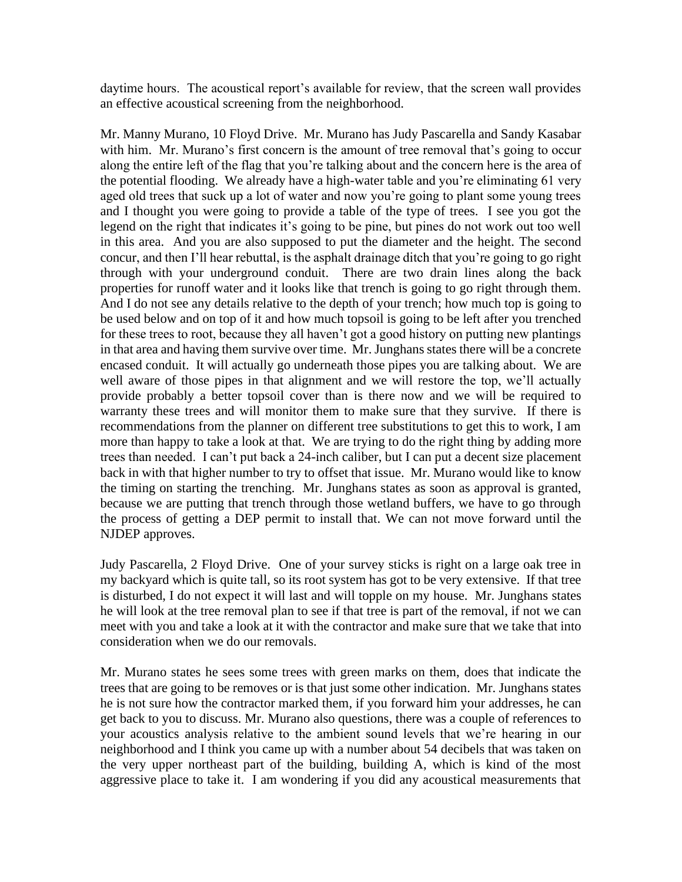daytime hours. The acoustical report's available for review, that the screen wall provides an effective acoustical screening from the neighborhood.

Mr. Manny Murano, 10 Floyd Drive. Mr. Murano has Judy Pascarella and Sandy Kasabar with him. Mr. Murano's first concern is the amount of tree removal that's going to occur along the entire left of the flag that you're talking about and the concern here is the area of the potential flooding. We already have a high-water table and you're eliminating 61 very aged old trees that suck up a lot of water and now you're going to plant some young trees and I thought you were going to provide a table of the type of trees. I see you got the legend on the right that indicates it's going to be pine, but pines do not work out too well in this area. And you are also supposed to put the diameter and the height. The second concur, and then I'll hear rebuttal, is the asphalt drainage ditch that you're going to go right through with your underground conduit. There are two drain lines along the back properties for runoff water and it looks like that trench is going to go right through them. And I do not see any details relative to the depth of your trench; how much top is going to be used below and on top of it and how much topsoil is going to be left after you trenched for these trees to root, because they all haven't got a good history on putting new plantings in that area and having them survive over time. Mr. Junghans states there will be a concrete encased conduit. It will actually go underneath those pipes you are talking about. We are well aware of those pipes in that alignment and we will restore the top, we'll actually provide probably a better topsoil cover than is there now and we will be required to warranty these trees and will monitor them to make sure that they survive. If there is recommendations from the planner on different tree substitutions to get this to work, I am more than happy to take a look at that. We are trying to do the right thing by adding more trees than needed. I can't put back a 24-inch caliber, but I can put a decent size placement back in with that higher number to try to offset that issue. Mr. Murano would like to know the timing on starting the trenching. Mr. Junghans states as soon as approval is granted, because we are putting that trench through those wetland buffers, we have to go through the process of getting a DEP permit to install that. We can not move forward until the NJDEP approves.

Judy Pascarella, 2 Floyd Drive. One of your survey sticks is right on a large oak tree in my backyard which is quite tall, so its root system has got to be very extensive. If that tree is disturbed, I do not expect it will last and will topple on my house. Mr. Junghans states he will look at the tree removal plan to see if that tree is part of the removal, if not we can meet with you and take a look at it with the contractor and make sure that we take that into consideration when we do our removals.

Mr. Murano states he sees some trees with green marks on them, does that indicate the trees that are going to be removes or is that just some other indication. Mr. Junghans states he is not sure how the contractor marked them, if you forward him your addresses, he can get back to you to discuss. Mr. Murano also questions, there was a couple of references to your acoustics analysis relative to the ambient sound levels that we're hearing in our neighborhood and I think you came up with a number about 54 decibels that was taken on the very upper northeast part of the building, building A, which is kind of the most aggressive place to take it. I am wondering if you did any acoustical measurements that